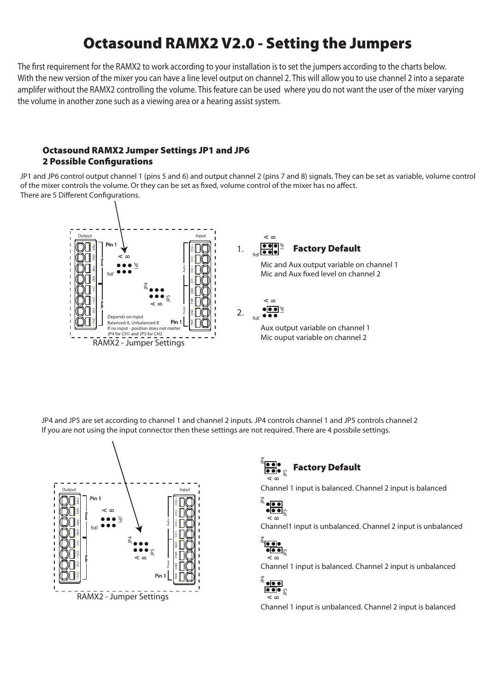# Octasound RAMX2 V2.0 - Setting the Jumpers

The first requirement for the RAMX2 to work according to your installation is to set the jumpers according to the charts below. With the new version of the mixer you can have a line level output on channel 2. This will allow you to use channel 2 into a separate amplifer without the RAMX2 controlling the volume. This feature can be used where you do not want the user of the mixer varying the volume in another zone such as a viewing area or a hearing assist system.

#### Octasound RAMX2 Jumper Settings JP1 and JP6 **2 Possible Configurations**

JP1 and JP6 control output channel 1 (pins 5 and 6) and output channel 2 (pins 7 and 8) signals. They can be set as variable, volume control of the mixer controls the volume. Or they can be set as fixed, volume control of the mixer has no affect. There are 5 Different Configurations.



JP4 and JP5 are set according to channel 1 and channel 2 inputs. JP4 controls channel 1 and JP5 controls channel 2 If you are not using the input connector then these settings are not required. There are 4 possbile settings.





Channel 1 input is balanced. Channel 2 input is balanced



Channel1 input is unbalanced. Channel 2 input is unbalanced



Channel 1 input is balanced. Channel 2 input is unbalanced

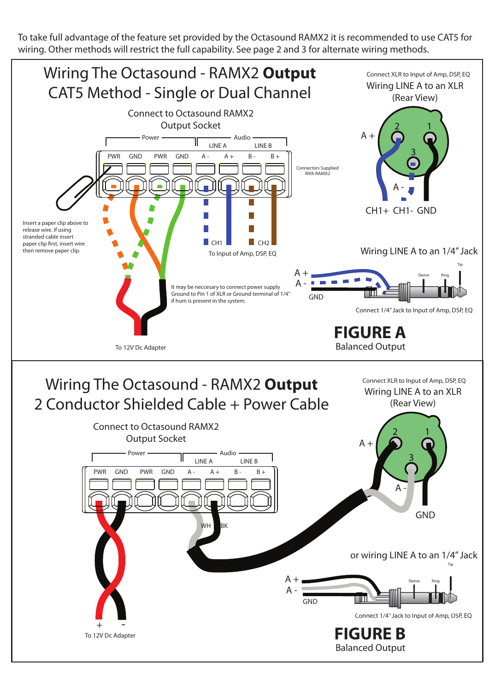To take full advantage of the feature set provided by the Octasound RAMX2 it is recommended to use CAT5 for wiring. Other methods will restrict the full capability. See page 2 and 3 for alternate wiring methods.

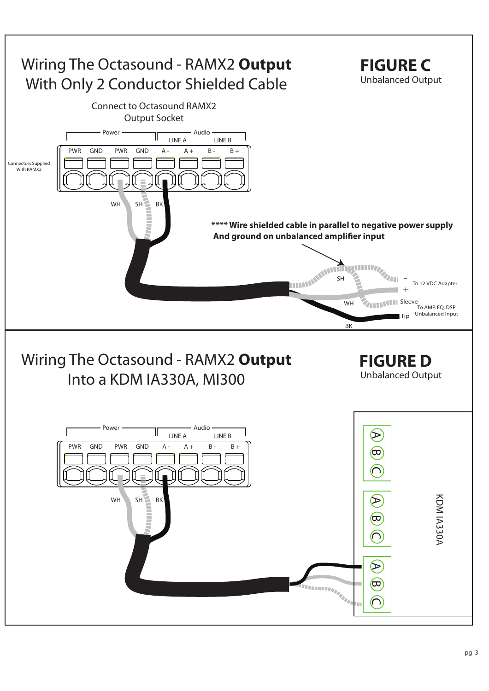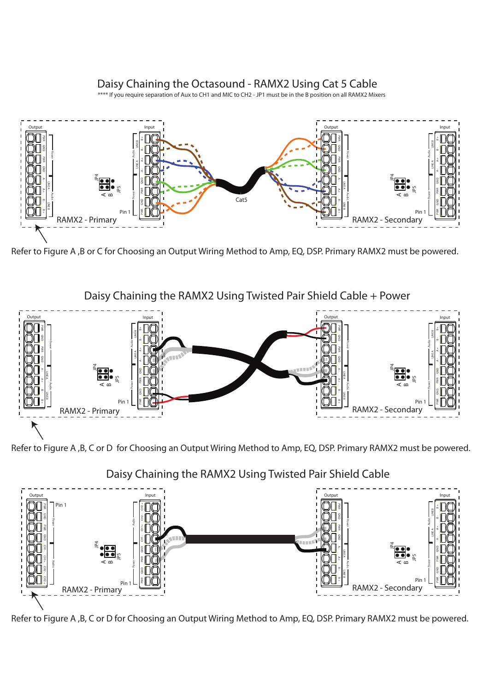## Daisy Chaining the Octasound - RAMX2 Using Cat 5 Cable

\*\*\*\* If you require separation of Aux to CH1 and MIC to CH2 - JP1 must be in the B position on all RAMX2 Mixers



Refer to Figure A ,B or C for Choosing an Output Wiring Method to Amp, EQ, DSP. Primary RAMX2 must be powered.





Refer to Figure A ,B, C or D for Choosing an Output Wiring Method to Amp, EQ, DSP. Primary RAMX2 must be powered.

Daisy Chaining the RAMX2 Using Twisted Pair Shield Cable



Refer to Figure A ,B, C or D for Choosing an Output Wiring Method to Amp, EQ, DSP. Primary RAMX2 must be powered.